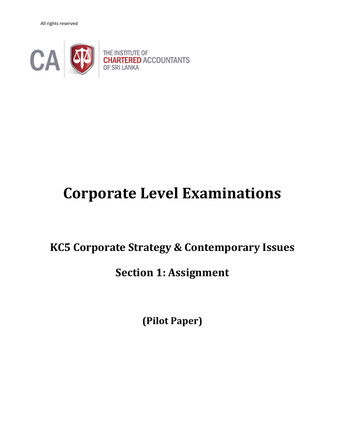All rights reserved



# **Corporate Level Examinations**

## **KC5 Corporate Strategy & Contemporary Issues**

### **Section 1: Assignment**

**(Pilot Paper)**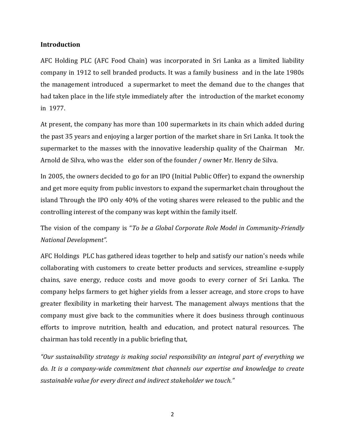#### **Introduction**

AFC Holding PLC (AFC Food Chain) was incorporated in Sri Lanka as a limited liability company in 1912 to sell branded products. It was a family business and in the late 1980s the management introduced a supermarket to meet the demand due to the changes that had taken place in the life style immediately after the introduction of the market economy in 1977.

At present, the company has more than 100 supermarkets in its chain which added during the past 35 years and enjoying a larger portion of the market share in Sri Lanka. It took the supermarket to the masses with the innovative leadership quality of the Chairman Mr. Arnold de Silva, who was the elder son of the founder / owner Mr. Henry de Silva.

In 2005, the owners decided to go for an IPO (Initial Public Offer) to expand the ownership and get more equity from public investors to expand the supermarket chain throughout the island Through the IPO only 40% of the voting shares were released to the public and the controlling interest of the company was kept within the family itself.

The vision of the company is "*To be a Global Corporate Role Model in Community-Friendly National Development".*

AFC Holdings PLC has gathered ideas together to help and satisfy our nation's needs while collaborating with customers to create better products and services, streamline e-supply chains, save energy, reduce costs and move goods to every corner of Sri Lanka. The company helps farmers to get higher yields from a lesser acreage, and store crops to have greater flexibility in marketing their harvest. The management always mentions that the company must give back to the communities where it does business through continuous efforts to improve nutrition, health and education, and protect natural resources. The chairman has told recently in a public briefing that,

*"Our sustainability strategy is making social responsibility an integral part of everything we do. It is a company-wide commitment that channels our expertise and knowledge to create sustainable value for every direct and indirect stakeholder we touch."*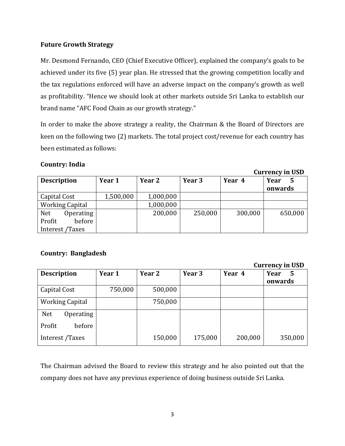#### **Future Growth Strategy**

Mr. Desmond Fernando, CEO (Chief Executive Officer), explained the company's goals to be achieved under its five (5) year plan. He stressed that the growing competition locally and the tax regulations enforced will have an adverse impact on the company's growth as well as profitability. "Hence we should look at other markets outside Sri Lanka to establish our brand name "AFC Food Chain as our growth strategy."

In order to make the above strategy a reality, the Chairman & the Board of Directors are keen on the following two (2) markets. The total project cost/revenue for each country has been estimated as follows:

### **Country: India**

| $54.1$ $0.10$ , $1.1$ $0.00$ |           |           |         |         |         |
|------------------------------|-----------|-----------|---------|---------|---------|
| <b>Description</b>           | Year 1    | Year 2    | Year 3  | Year 4  | Year    |
|                              |           |           |         |         | onwards |
| Capital Cost                 | 1,500,000 | 1,000,000 |         |         |         |
| <b>Working Capital</b>       |           | 1,000,000 |         |         |         |
| <b>Net</b><br>Operating      |           | 200,000   | 250,000 | 300,000 | 650,000 |
| Profit<br>before             |           |           |         |         |         |
| Interest /Taxes              |           |           |         |         |         |

#### **Country: Bangladesh**

#### **Currency in USD**

**Currency in USD** 

|                         |         |         |         |         | $\frac{1}{2}$ |
|-------------------------|---------|---------|---------|---------|---------------|
| <b>Description</b>      | Year 1  | Year 2  | Year 3  | Year 4  | Year<br>5     |
|                         |         |         |         |         | onwards       |
| Capital Cost            | 750,000 | 500,000 |         |         |               |
| <b>Working Capital</b>  |         | 750,000 |         |         |               |
| <b>Net</b><br>Operating |         |         |         |         |               |
| Profit<br>before        |         |         |         |         |               |
| Interest /Taxes         |         | 150,000 | 175,000 | 200,000 | 350,000       |

The Chairman advised the Board to review this strategy and he also pointed out that the company does not have any previous experience of doing business outside Sri Lanka.